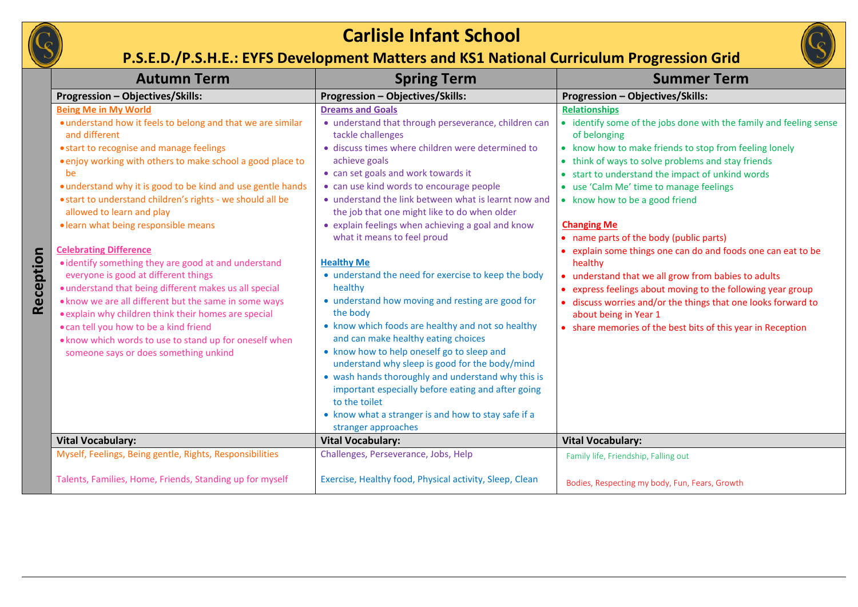

## **Carlisle Infant School**

## **P.S.E.D./P.S.H.E.: EYFS Development Matters and KS1 National Curriculum Progression Grid**



|           | <b>Autumn Term</b>                                                                                                                                                                                                                                                                                                                                                                                                                                                                                                                                                                                                                                                                                                                                                                                                                                                                     | <b>Spring Term</b>                                                                                                                                                                                                                                                                                                                                                                                                                                                                                                                                                                                                                                                                                                                                                                                                                                                                                                                                                                                                      | <b>Summer Term</b>                                                                                                                                                                                                                                                                                                                                                                                                                                                                                                                                                                                                                                                                                                                                                                   |
|-----------|----------------------------------------------------------------------------------------------------------------------------------------------------------------------------------------------------------------------------------------------------------------------------------------------------------------------------------------------------------------------------------------------------------------------------------------------------------------------------------------------------------------------------------------------------------------------------------------------------------------------------------------------------------------------------------------------------------------------------------------------------------------------------------------------------------------------------------------------------------------------------------------|-------------------------------------------------------------------------------------------------------------------------------------------------------------------------------------------------------------------------------------------------------------------------------------------------------------------------------------------------------------------------------------------------------------------------------------------------------------------------------------------------------------------------------------------------------------------------------------------------------------------------------------------------------------------------------------------------------------------------------------------------------------------------------------------------------------------------------------------------------------------------------------------------------------------------------------------------------------------------------------------------------------------------|--------------------------------------------------------------------------------------------------------------------------------------------------------------------------------------------------------------------------------------------------------------------------------------------------------------------------------------------------------------------------------------------------------------------------------------------------------------------------------------------------------------------------------------------------------------------------------------------------------------------------------------------------------------------------------------------------------------------------------------------------------------------------------------|
|           | Progression - Objectives/Skills:                                                                                                                                                                                                                                                                                                                                                                                                                                                                                                                                                                                                                                                                                                                                                                                                                                                       | Progression - Objectives/Skills:                                                                                                                                                                                                                                                                                                                                                                                                                                                                                                                                                                                                                                                                                                                                                                                                                                                                                                                                                                                        | Progression - Objectives/Skills:                                                                                                                                                                                                                                                                                                                                                                                                                                                                                                                                                                                                                                                                                                                                                     |
| Reception | <b>Being Me in My World</b><br>• understand how it feels to belong and that we are similar<br>and different<br>• start to recognise and manage feelings<br>• enjoy working with others to make school a good place to<br>be<br>• understand why it is good to be kind and use gentle hands<br>• start to understand children's rights - we should all be<br>allowed to learn and play<br>· learn what being responsible means<br><b>Celebrating Difference</b><br>• identify something they are good at and understand<br>everyone is good at different things<br>· understand that being different makes us all special<br>. know we are all different but the same in some ways<br>• explain why children think their homes are special<br>• can tell you how to be a kind friend<br>. know which words to use to stand up for oneself when<br>someone says or does something unkind | <b>Dreams and Goals</b><br>• understand that through perseverance, children can<br>tackle challenges<br>· discuss times where children were determined to<br>achieve goals<br>• can set goals and work towards it<br>• can use kind words to encourage people<br>• understand the link between what is learnt now and<br>the job that one might like to do when older<br>• explain feelings when achieving a goal and know<br>what it means to feel proud<br><b>Healthy Me</b><br>• understand the need for exercise to keep the body<br>healthy<br>• understand how moving and resting are good for<br>the body<br>• know which foods are healthy and not so healthy<br>and can make healthy eating choices<br>• know how to help oneself go to sleep and<br>understand why sleep is good for the body/mind<br>• wash hands thoroughly and understand why this is<br>important especially before eating and after going<br>to the toilet<br>• know what a stranger is and how to stay safe if a<br>stranger approaches | <b>Relationships</b><br>• identify some of the jobs done with the family and feeling sense<br>of belonging<br>• know how to make friends to stop from feeling lonely<br>• think of ways to solve problems and stay friends<br>• start to understand the impact of unkind words<br>• use 'Calm Me' time to manage feelings<br>• know how to be a good friend<br><b>Changing Me</b><br>• name parts of the body (public parts)<br>• explain some things one can do and foods one can eat to be<br>healthy<br>• understand that we all grow from babies to adults<br>• express feelings about moving to the following year group<br>discuss worries and/or the things that one looks forward to<br>about being in Year 1<br>• share memories of the best bits of this year in Reception |
|           | <b>Vital Vocabulary:</b>                                                                                                                                                                                                                                                                                                                                                                                                                                                                                                                                                                                                                                                                                                                                                                                                                                                               | <b>Vital Vocabulary:</b>                                                                                                                                                                                                                                                                                                                                                                                                                                                                                                                                                                                                                                                                                                                                                                                                                                                                                                                                                                                                | <b>Vital Vocabulary:</b>                                                                                                                                                                                                                                                                                                                                                                                                                                                                                                                                                                                                                                                                                                                                                             |
|           | Myself, Feelings, Being gentle, Rights, Responsibilities                                                                                                                                                                                                                                                                                                                                                                                                                                                                                                                                                                                                                                                                                                                                                                                                                               | Challenges, Perseverance, Jobs, Help                                                                                                                                                                                                                                                                                                                                                                                                                                                                                                                                                                                                                                                                                                                                                                                                                                                                                                                                                                                    | Family life, Friendship, Falling out                                                                                                                                                                                                                                                                                                                                                                                                                                                                                                                                                                                                                                                                                                                                                 |
|           | Talents, Families, Home, Friends, Standing up for myself                                                                                                                                                                                                                                                                                                                                                                                                                                                                                                                                                                                                                                                                                                                                                                                                                               | Exercise, Healthy food, Physical activity, Sleep, Clean                                                                                                                                                                                                                                                                                                                                                                                                                                                                                                                                                                                                                                                                                                                                                                                                                                                                                                                                                                 | Bodies, Respecting my body, Fun, Fears, Growth                                                                                                                                                                                                                                                                                                                                                                                                                                                                                                                                                                                                                                                                                                                                       |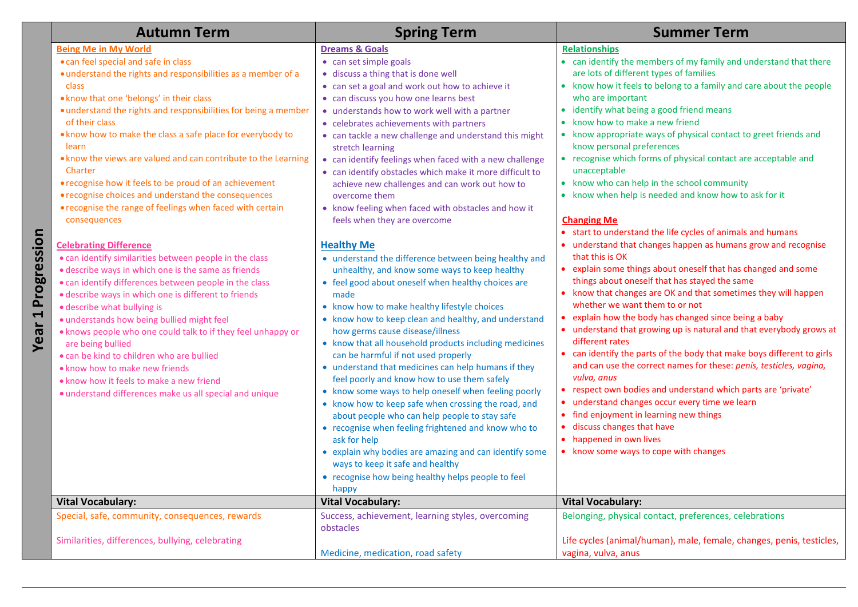|                                       | <b>Autumn Term</b>                                                                                                                                                                                                                                                                                                                                                                                                                                                                                                                                                                                                                                                                                                                                                                                                                                                                                                                                                                                                                                                                                                                                                                                                                                            | <b>Spring Term</b>                                                                                                                                                                                                                                                                                                                                                                                                                                                                                                                                                                                                                                                                                                                                                                                                                                                                                                                                                                                                                                                                                                                                                                                                                                                                                                                                                                                                                                                                                                                                                                          | <b>Summer Term</b>                                                                                                                                                                                                                                                                                                                                                                                                                                                                                                                                                                                                                                                                                                                                                                                                                                                                                                                                                                                                                                                                                                                                                                                                                                                                                                                                                                                                                                                                                                                                                                                            |
|---------------------------------------|---------------------------------------------------------------------------------------------------------------------------------------------------------------------------------------------------------------------------------------------------------------------------------------------------------------------------------------------------------------------------------------------------------------------------------------------------------------------------------------------------------------------------------------------------------------------------------------------------------------------------------------------------------------------------------------------------------------------------------------------------------------------------------------------------------------------------------------------------------------------------------------------------------------------------------------------------------------------------------------------------------------------------------------------------------------------------------------------------------------------------------------------------------------------------------------------------------------------------------------------------------------|---------------------------------------------------------------------------------------------------------------------------------------------------------------------------------------------------------------------------------------------------------------------------------------------------------------------------------------------------------------------------------------------------------------------------------------------------------------------------------------------------------------------------------------------------------------------------------------------------------------------------------------------------------------------------------------------------------------------------------------------------------------------------------------------------------------------------------------------------------------------------------------------------------------------------------------------------------------------------------------------------------------------------------------------------------------------------------------------------------------------------------------------------------------------------------------------------------------------------------------------------------------------------------------------------------------------------------------------------------------------------------------------------------------------------------------------------------------------------------------------------------------------------------------------------------------------------------------------|---------------------------------------------------------------------------------------------------------------------------------------------------------------------------------------------------------------------------------------------------------------------------------------------------------------------------------------------------------------------------------------------------------------------------------------------------------------------------------------------------------------------------------------------------------------------------------------------------------------------------------------------------------------------------------------------------------------------------------------------------------------------------------------------------------------------------------------------------------------------------------------------------------------------------------------------------------------------------------------------------------------------------------------------------------------------------------------------------------------------------------------------------------------------------------------------------------------------------------------------------------------------------------------------------------------------------------------------------------------------------------------------------------------------------------------------------------------------------------------------------------------------------------------------------------------------------------------------------------------|
| Progression<br>$\blacksquare$<br>Year | <b>Being Me in My World</b><br>. can feel special and safe in class<br>· understand the rights and responsibilities as a member of a<br>class<br>. know that one 'belongs' in their class<br>• understand the rights and responsibilities for being a member<br>of their class<br>. know how to make the class a safe place for everybody to<br>learn<br>. know the views are valued and can contribute to the Learning<br>Charter<br>• recognise how it feels to be proud of an achievement<br>• recognise choices and understand the consequences<br>• recognise the range of feelings when faced with certain<br>consequences<br><b>Celebrating Difference</b><br>• can identify similarities between people in the class<br>• describe ways in which one is the same as friends<br>• can identify differences between people in the class<br>· describe ways in which one is different to friends<br>· describe what bullying is<br>· understands how being bullied might feel<br>. knows people who one could talk to if they feel unhappy or<br>are being bullied<br>• can be kind to children who are bullied<br>• know how to make new friends<br>. know how it feels to make a new friend<br>· understand differences make us all special and unique | <b>Dreams &amp; Goals</b><br>• can set simple goals<br>· discuss a thing that is done well<br>• can set a goal and work out how to achieve it<br>• can discuss you how one learns best<br>• understands how to work well with a partner<br>• celebrates achievements with partners<br>• can tackle a new challenge and understand this might<br>stretch learning<br>• can identify feelings when faced with a new challenge<br>• can identify obstacles which make it more difficult to<br>achieve new challenges and can work out how to<br>overcome them<br>• know feeling when faced with obstacles and how it<br>feels when they are overcome<br><b>Healthy Me</b><br>• understand the difference between being healthy and<br>unhealthy, and know some ways to keep healthy<br>• feel good about oneself when healthy choices are<br>made<br>• know how to make healthy lifestyle choices<br>• know how to keep clean and healthy, and understand<br>how germs cause disease/illness<br>• know that all household products including medicines<br>can be harmful if not used properly<br>• understand that medicines can help humans if they<br>feel poorly and know how to use them safely<br>• know some ways to help oneself when feeling poorly<br>• know how to keep safe when crossing the road, and<br>about people who can help people to stay safe<br>• recognise when feeling frightened and know who to<br>ask for help<br>• explain why bodies are amazing and can identify some<br>ways to keep it safe and healthy<br>• recognise how being healthy helps people to feel | <b>Relationships</b><br>• can identify the members of my family and understand that there<br>are lots of different types of families<br>• know how it feels to belong to a family and care about the people<br>who are important<br>identify what being a good friend means<br>$\bullet$<br>• know how to make a new friend<br>• know appropriate ways of physical contact to greet friends and<br>know personal preferences<br>• recognise which forms of physical contact are acceptable and<br>unacceptable<br>• know who can help in the school community<br>• know when help is needed and know how to ask for it<br><b>Changing Me</b><br>• start to understand the life cycles of animals and humans<br>• understand that changes happen as humans grow and recognise<br>that this is OK<br>• explain some things about oneself that has changed and some<br>things about oneself that has stayed the same<br>know that changes are OK and that sometimes they will happen<br>whether we want them to or not<br>explain how the body has changed since being a baby<br>• understand that growing up is natural and that everybody grows at<br>different rates<br>• can identify the parts of the body that make boys different to girls<br>and can use the correct names for these: penis, testicles, vagina,<br>vulva, anus<br>respect own bodies and understand which parts are 'private'<br>• understand changes occur every time we learn<br>• find enjoyment in learning new things<br>discuss changes that have<br>$\bullet$<br>• happened in own lives<br>• know some ways to cope with changes |
|                                       | <b>Vital Vocabulary:</b>                                                                                                                                                                                                                                                                                                                                                                                                                                                                                                                                                                                                                                                                                                                                                                                                                                                                                                                                                                                                                                                                                                                                                                                                                                      | happy<br><b>Vital Vocabulary:</b>                                                                                                                                                                                                                                                                                                                                                                                                                                                                                                                                                                                                                                                                                                                                                                                                                                                                                                                                                                                                                                                                                                                                                                                                                                                                                                                                                                                                                                                                                                                                                           | <b>Vital Vocabulary:</b>                                                                                                                                                                                                                                                                                                                                                                                                                                                                                                                                                                                                                                                                                                                                                                                                                                                                                                                                                                                                                                                                                                                                                                                                                                                                                                                                                                                                                                                                                                                                                                                      |
|                                       | Special, safe, community, consequences, rewards                                                                                                                                                                                                                                                                                                                                                                                                                                                                                                                                                                                                                                                                                                                                                                                                                                                                                                                                                                                                                                                                                                                                                                                                               | Success, achievement, learning styles, overcoming                                                                                                                                                                                                                                                                                                                                                                                                                                                                                                                                                                                                                                                                                                                                                                                                                                                                                                                                                                                                                                                                                                                                                                                                                                                                                                                                                                                                                                                                                                                                           | Belonging, physical contact, preferences, celebrations                                                                                                                                                                                                                                                                                                                                                                                                                                                                                                                                                                                                                                                                                                                                                                                                                                                                                                                                                                                                                                                                                                                                                                                                                                                                                                                                                                                                                                                                                                                                                        |
|                                       | Similarities, differences, bullying, celebrating                                                                                                                                                                                                                                                                                                                                                                                                                                                                                                                                                                                                                                                                                                                                                                                                                                                                                                                                                                                                                                                                                                                                                                                                              | obstacles<br>Medicine, medication, road safety                                                                                                                                                                                                                                                                                                                                                                                                                                                                                                                                                                                                                                                                                                                                                                                                                                                                                                                                                                                                                                                                                                                                                                                                                                                                                                                                                                                                                                                                                                                                              | Life cycles (animal/human), male, female, changes, penis, testicles,<br>vagina, vulva, anus                                                                                                                                                                                                                                                                                                                                                                                                                                                                                                                                                                                                                                                                                                                                                                                                                                                                                                                                                                                                                                                                                                                                                                                                                                                                                                                                                                                                                                                                                                                   |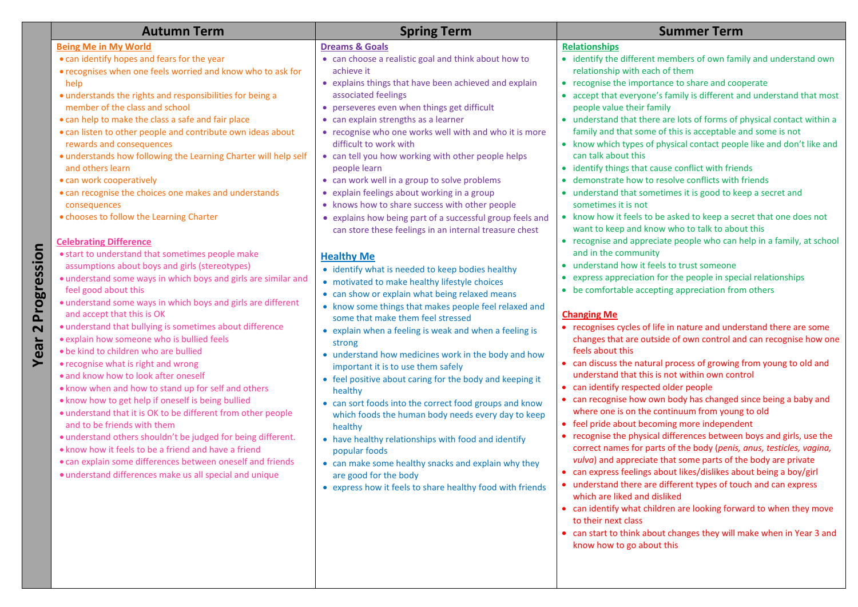|                                                | <b>Autumn Term</b>                                                                                                                                                                                                                                                                                                                                                                                                                                                                                                                                                                                                                                                                                                                                                                                                                                                                                                                    | <b>Spring Term</b>                                                                                                                                                                                                                                                                                                                                                                                                                                                                                                                                                                                                                                                                                                                                                                                                                        | <b>Summer Term</b>                                                                                                                                                                                                                                                                                                                                                                                                                                                                                                                                                                                                                                                                                                                                                                                                                                                                                                                                                                                                                                                                                                                                                                                                                                                                           |
|------------------------------------------------|---------------------------------------------------------------------------------------------------------------------------------------------------------------------------------------------------------------------------------------------------------------------------------------------------------------------------------------------------------------------------------------------------------------------------------------------------------------------------------------------------------------------------------------------------------------------------------------------------------------------------------------------------------------------------------------------------------------------------------------------------------------------------------------------------------------------------------------------------------------------------------------------------------------------------------------|-------------------------------------------------------------------------------------------------------------------------------------------------------------------------------------------------------------------------------------------------------------------------------------------------------------------------------------------------------------------------------------------------------------------------------------------------------------------------------------------------------------------------------------------------------------------------------------------------------------------------------------------------------------------------------------------------------------------------------------------------------------------------------------------------------------------------------------------|----------------------------------------------------------------------------------------------------------------------------------------------------------------------------------------------------------------------------------------------------------------------------------------------------------------------------------------------------------------------------------------------------------------------------------------------------------------------------------------------------------------------------------------------------------------------------------------------------------------------------------------------------------------------------------------------------------------------------------------------------------------------------------------------------------------------------------------------------------------------------------------------------------------------------------------------------------------------------------------------------------------------------------------------------------------------------------------------------------------------------------------------------------------------------------------------------------------------------------------------------------------------------------------------|
|                                                | <b>Being Me in My World</b><br>• can identify hopes and fears for the year<br>• recognises when one feels worried and know who to ask for<br>help                                                                                                                                                                                                                                                                                                                                                                                                                                                                                                                                                                                                                                                                                                                                                                                     | <b>Dreams &amp; Goals</b><br>• can choose a realistic goal and think about how to<br>achieve it<br>• explains things that have been achieved and explain                                                                                                                                                                                                                                                                                                                                                                                                                                                                                                                                                                                                                                                                                  | <b>Relationships</b><br>• identify the different members of own family and understand own<br>relationship with each of them<br>• recognise the importance to share and cooperate                                                                                                                                                                                                                                                                                                                                                                                                                                                                                                                                                                                                                                                                                                                                                                                                                                                                                                                                                                                                                                                                                                             |
| Progression<br>$\overline{\mathbf{C}}$<br>Year | · understands the rights and responsibilities for being a<br>member of the class and school<br>• can help to make the class a safe and fair place<br>• can listen to other people and contribute own ideas about<br>rewards and consequences<br>· understands how following the Learning Charter will help self<br>and others learn<br>• can work cooperatively<br>• can recognise the choices one makes and understands<br>consequences<br>. chooses to follow the Learning Charter<br><b>Celebrating Difference</b><br>• start to understand that sometimes people make                                                                                                                                                                                                                                                                                                                                                             | associated feelings<br>• perseveres even when things get difficult<br>• can explain strengths as a learner<br>• recognise who one works well with and who it is more<br>difficult to work with<br>• can tell you how working with other people helps<br>people learn<br>• can work well in a group to solve problems<br>• explain feelings about working in a group<br>• knows how to share success with other people<br>• explains how being part of a successful group feels and<br>can store these feelings in an internal treasure chest<br><b>Healthy Me</b>                                                                                                                                                                                                                                                                         | • accept that everyone's family is different and understand that most<br>people value their family<br>• understand that there are lots of forms of physical contact within a<br>family and that some of this is acceptable and some is not<br>• know which types of physical contact people like and don't like and<br>can talk about this<br>• identify things that cause conflict with friends<br>• demonstrate how to resolve conflicts with friends<br>• understand that sometimes it is good to keep a secret and<br>sometimes it is not<br>• know how it feels to be asked to keep a secret that one does not<br>want to keep and know who to talk to about this<br>• recognise and appreciate people who can help in a family, at school<br>and in the community                                                                                                                                                                                                                                                                                                                                                                                                                                                                                                                      |
|                                                | assumptions about boys and girls (stereotypes)<br>· understand some ways in which boys and girls are similar and<br>feel good about this<br>· understand some ways in which boys and girls are different<br>and accept that this is OK<br>· understand that bullying is sometimes about difference<br>· explain how someone who is bullied feels<br>. be kind to children who are bullied<br>• recognise what is right and wrong<br>· and know how to look after oneself<br>. know when and how to stand up for self and others<br>. know how to get help if oneself is being bullied<br>• understand that it is OK to be different from other people<br>and to be friends with them<br>• understand others shouldn't be judged for being different.<br>• know how it feels to be a friend and have a friend<br>• can explain some differences between oneself and friends<br>· understand differences make us all special and unique | • identify what is needed to keep bodies healthy<br>• motivated to make healthy lifestyle choices<br>• can show or explain what being relaxed means<br>• know some things that makes people feel relaxed and<br>some that make them feel stressed<br>• explain when a feeling is weak and when a feeling is<br>strong<br>• understand how medicines work in the body and how<br>important it is to use them safely<br>• feel positive about caring for the body and keeping it<br>healthy<br>• can sort foods into the correct food groups and know<br>which foods the human body needs every day to keep<br>healthy<br>• have healthy relationships with food and identify<br>popular foods<br>• can make some healthy snacks and explain why they<br>are good for the body<br>• express how it feels to share healthy food with friends | • understand how it feels to trust someone<br>• express appreciation for the people in special relationships<br>• be comfortable accepting appreciation from others<br><b>Changing Me</b><br>• recognises cycles of life in nature and understand there are some<br>changes that are outside of own control and can recognise how one<br>feels about this<br>• can discuss the natural process of growing from young to old and<br>understand that this is not within own control<br>• can identify respected older people<br>• can recognise how own body has changed since being a baby and<br>where one is on the continuum from young to old<br>• feel pride about becoming more independent<br>• recognise the physical differences between boys and girls, use the<br>correct names for parts of the body (penis, anus, testicles, vagina,<br>vulva) and appreciate that some parts of the body are private<br>• can express feelings about likes/dislikes about being a boy/girl<br>• understand there are different types of touch and can express<br>which are liked and disliked<br>• can identify what children are looking forward to when they move<br>to their next class<br>• can start to think about changes they will make when in Year 3 and<br>know how to go about this |